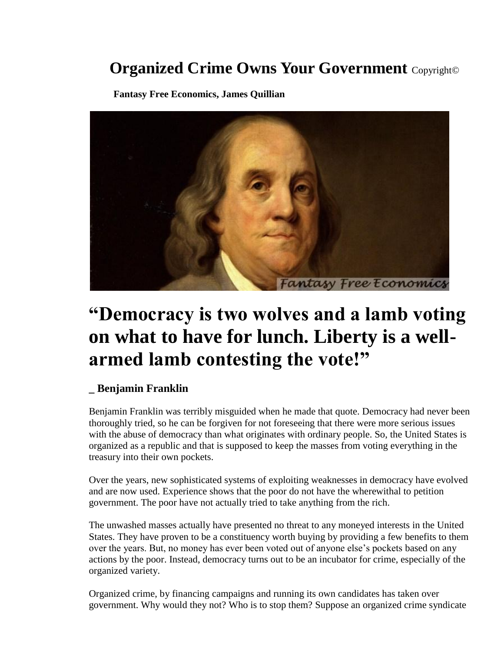## **Organized Crime Owns Your Government** Copyright©

 **Fantasy Free Economics, James Quillian**



## **"Democracy is two wolves and a lamb voting on what to have for lunch. Liberty is a wellarmed lamb contesting the vote!"**

## **\_ Benjamin Franklin**

Benjamin Franklin was terribly misguided when he made that quote. Democracy had never been thoroughly tried, so he can be forgiven for not foreseeing that there were more serious issues with the abuse of democracy than what originates with ordinary people. So, the United States is organized as a republic and that is supposed to keep the masses from voting everything in the treasury into their own pockets.

Over the years, new sophisticated systems of exploiting weaknesses in democracy have evolved and are now used. Experience shows that the poor do not have the wherewithal to petition government. The poor have not actually tried to take anything from the rich.

The unwashed masses actually have presented no threat to any moneyed interests in the United States. They have proven to be a constituency worth buying by providing a few benefits to them over the years. But, no money has ever been voted out of anyone else's pockets based on any actions by the poor. Instead, democracy turns out to be an incubator for crime, especially of the organized variety.

Organized crime, by financing campaigns and running its own candidates has taken over government. Why would they not? Who is to stop them? Suppose an organized crime syndicate